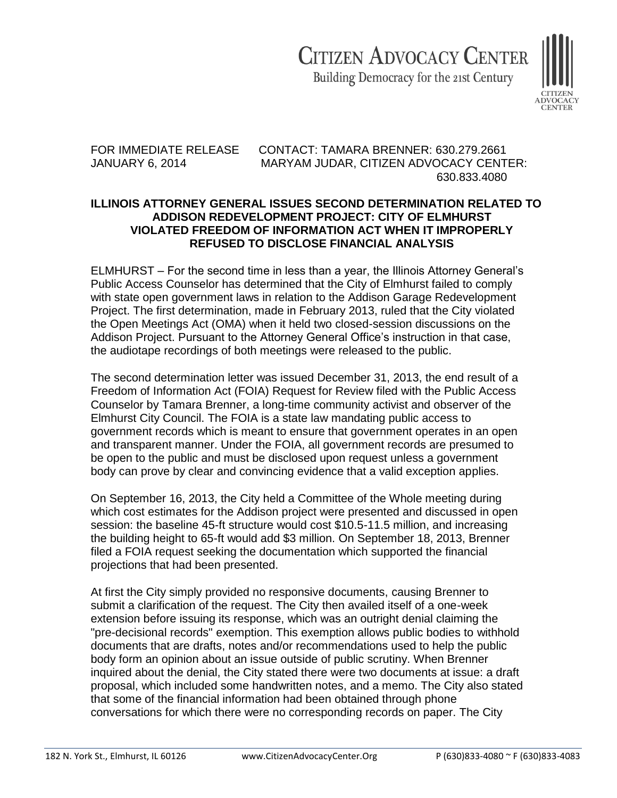## **CITIZEN ADVOCACY CENTER**

Building Democracy for the 21st Century



FOR IMMEDIATE RELEASE CONTACT: TAMARA BRENNER: 630.279.2661 JANUARY 6, 2014 MARYAM JUDAR, CITIZEN ADVOCACY CENTER: 630.833.4080

## **ILLINOIS ATTORNEY GENERAL ISSUES SECOND DETERMINATION RELATED TO ADDISON REDEVELOPMENT PROJECT: CITY OF ELMHURST VIOLATED FREEDOM OF INFORMATION ACT WHEN IT IMPROPERLY REFUSED TO DISCLOSE FINANCIAL ANALYSIS**

ELMHURST – For the second time in less than a year, the Illinois Attorney General's Public Access Counselor has determined that the City of Elmhurst failed to comply with state open government laws in relation to the Addison Garage Redevelopment Project. The first determination, made in February 2013, ruled that the City violated the Open Meetings Act (OMA) when it held two closed-session discussions on the Addison Project. Pursuant to the Attorney General Office's instruction in that case, the audiotape recordings of both meetings were released to the public.

The second determination letter was issued December 31, 2013, the end result of a Freedom of Information Act (FOIA) Request for Review filed with the Public Access Counselor by Tamara Brenner, a long-time community activist and observer of the Elmhurst City Council. The FOIA is a state law mandating public access to government records which is meant to ensure that government operates in an open and transparent manner. Under the FOIA, all government records are presumed to be open to the public and must be disclosed upon request unless a government body can prove by clear and convincing evidence that a valid exception applies.

On September 16, 2013, the City held a Committee of the Whole meeting during which cost estimates for the Addison project were presented and discussed in open session: the baseline 45-ft structure would cost \$10.5-11.5 million, and increasing the building height to 65-ft would add \$3 million. On September 18, 2013, Brenner filed a FOIA request seeking the documentation which supported the financial projections that had been presented.

At first the City simply provided no responsive documents, causing Brenner to submit a clarification of the request. The City then availed itself of a one-week extension before issuing its response, which was an outright denial claiming the "pre-decisional records" exemption. This exemption allows public bodies to withhold documents that are drafts, notes and/or recommendations used to help the public body form an opinion about an issue outside of public scrutiny. When Brenner inquired about the denial, the City stated there were two documents at issue: a draft proposal, which included some handwritten notes, and a memo. The City also stated that some of the financial information had been obtained through phone conversations for which there were no corresponding records on paper. The City